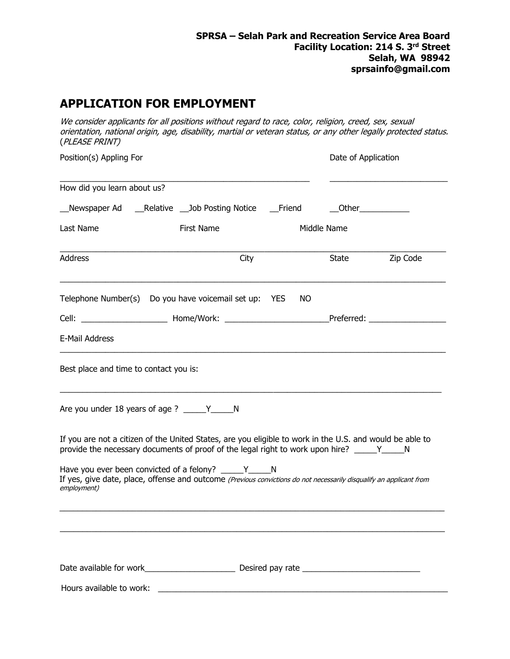# **APPLICATION FOR EMPLOYMENT**

We consider applicants for all positions without regard to race, color, religion, creed, sex, sexual orientation, national origin, age, disability, martial or veteran status, or any other legally protected status. (PLEASE PRINT)

| Position(s) Appling For                |                                                                                                                                                                                                         |     | Date of Application |          |
|----------------------------------------|---------------------------------------------------------------------------------------------------------------------------------------------------------------------------------------------------------|-----|---------------------|----------|
| How did you learn about us?            |                                                                                                                                                                                                         |     |                     |          |
|                                        | __Newspaper Ad ____Relative ___Job Posting Notice ____Friend _______Other____________                                                                                                                   |     |                     |          |
| Last Name                              | First Name                                                                                                                                                                                              |     | Middle Name         |          |
| Address                                | City                                                                                                                                                                                                    |     | State               | Zip Code |
|                                        | Telephone Number(s) Do you have voicemail set up: YES                                                                                                                                                   | NO. |                     |          |
|                                        |                                                                                                                                                                                                         |     |                     |          |
| E-Mail Address                         |                                                                                                                                                                                                         |     |                     |          |
| Best place and time to contact you is: |                                                                                                                                                                                                         |     |                     |          |
|                                        | Are you under 18 years of age ? _____Y______N                                                                                                                                                           |     |                     |          |
|                                        | If you are not a citizen of the United States, are you eligible to work in the U.S. and would be able to<br>provide the necessary documents of proof of the legal right to work upon hire? _____Y_____N |     |                     |          |
| employment)                            | Have you ever been convicted of a felony? ______Y________N<br>If yes, give date, place, offense and outcome (Previous convictions do not necessarily disqualify an applicant from                       |     |                     |          |
|                                        |                                                                                                                                                                                                         |     |                     |          |
|                                        |                                                                                                                                                                                                         |     |                     |          |
| Hours available to work:               |                                                                                                                                                                                                         |     |                     |          |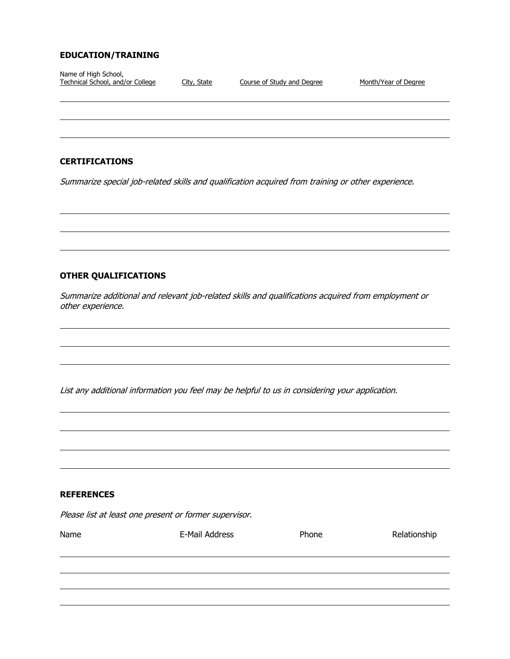### **EDUCATION/TRAINING**

| Name of High School,<br>Technical School, and/or College | City, State | Course of Study and Degree | Month/Year of Degree                                                                               |
|----------------------------------------------------------|-------------|----------------------------|----------------------------------------------------------------------------------------------------|
|                                                          |             |                            |                                                                                                    |
|                                                          |             |                            |                                                                                                    |
|                                                          |             |                            |                                                                                                    |
| <b>CERTIFICATIONS</b>                                    |             |                            |                                                                                                    |
|                                                          |             |                            | Summarize special job-related skills and qualification acquired from training or other experience. |

## **OTHER QUALIFICATIONS**

Summarize additional and relevant job-related skills and qualifications acquired from employment or other experience.

List any additional information you feel may be helpful to us in considering your application.

### **REFERENCES**

Please list at least one present or former supervisor.

| Name | E-Mail Address | Phone | Relationship |
|------|----------------|-------|--------------|
|      |                |       |              |
|      |                |       |              |
|      |                |       |              |
|      |                |       |              |
|      |                |       |              |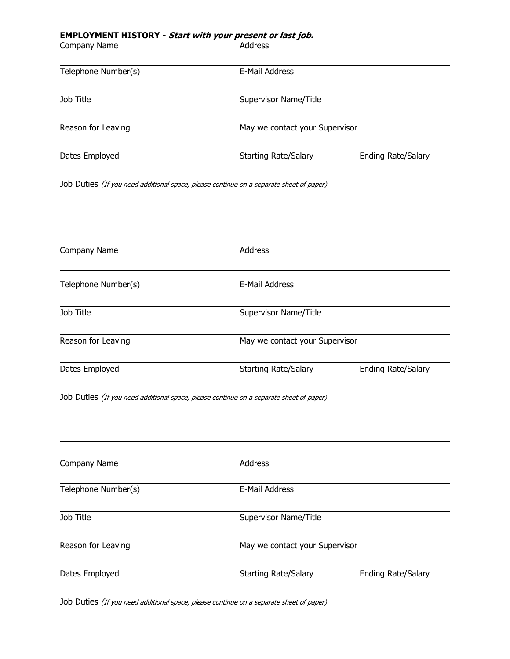### **EMPLOYMENT HISTORY - Start with your present or last job.**

Company Name **Address** Address

| Telephone Number(s) | E-Mail Address                                                                          |                                |  |
|---------------------|-----------------------------------------------------------------------------------------|--------------------------------|--|
| Job Title           | Supervisor Name/Title                                                                   |                                |  |
| Reason for Leaving  |                                                                                         | May we contact your Supervisor |  |
| Dates Employed      | <b>Starting Rate/Salary</b>                                                             | <b>Ending Rate/Salary</b>      |  |
|                     | Job Duties (If you need additional space, please continue on a separate sheet of paper) |                                |  |
| Company Name        | Address                                                                                 |                                |  |
| Telephone Number(s) | E-Mail Address                                                                          |                                |  |
| Job Title           | Supervisor Name/Title                                                                   |                                |  |
| Reason for Leaving  | May we contact your Supervisor                                                          |                                |  |
| Dates Employed      | <b>Starting Rate/Salary</b>                                                             | <b>Ending Rate/Salary</b>      |  |
|                     | Job Duties (If you need additional space, please continue on a separate sheet of paper) |                                |  |
| Company Name        | Address                                                                                 |                                |  |
| Telephone Number(s) | E-Mail Address                                                                          |                                |  |
| Job Title           | Supervisor Name/Title                                                                   |                                |  |
| Reason for Leaving  | May we contact your Supervisor                                                          |                                |  |
| Dates Employed      | <b>Starting Rate/Salary</b>                                                             | <b>Ending Rate/Salary</b>      |  |
|                     | Job Duties (If you need additional space, please continue on a separate sheet of paper) |                                |  |